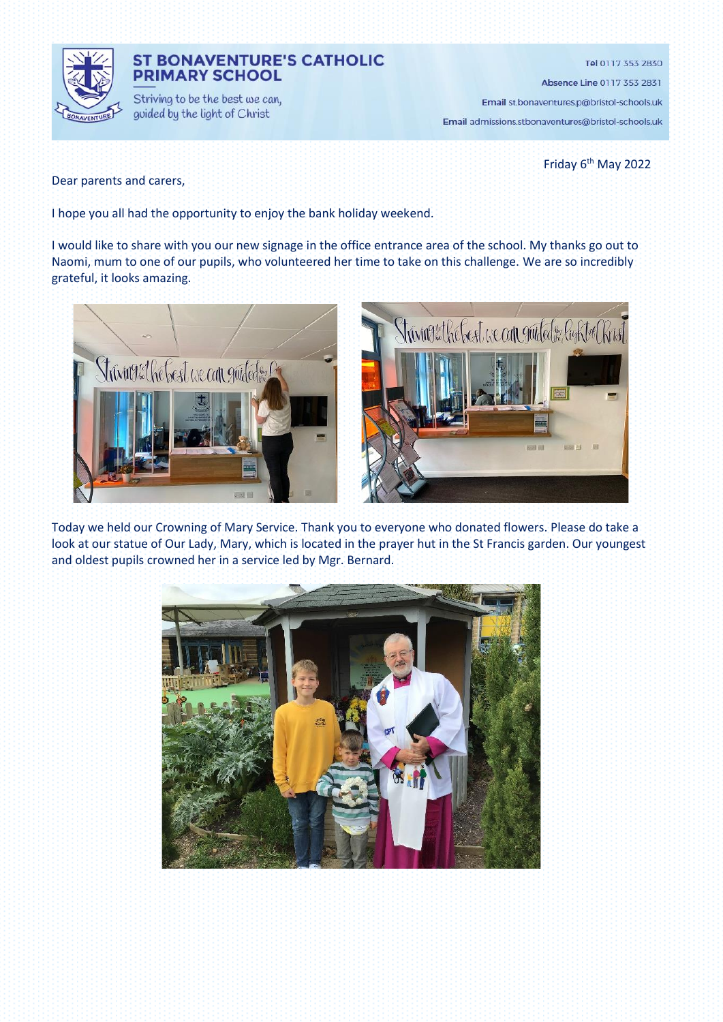

### **ST BONAVENTURE'S CATHOLIC PRIMARY SCHOOL**

Striving to be the best we can, guided by the light of Christ

Tel 0117 353 2830

Absence Line 0117 353 2831

Email st.bonaventures.p@bristol-schools.uk

Email admissions.stbonaventures@bristol-schools.uk

Friday 6<sup>th</sup> May 2022

Dear parents and carers,

I hope you all had the opportunity to enjoy the bank holiday weekend.

I would like to share with you our new signage in the office entrance area of the school. My thanks go out to Naomi, mum to one of our pupils, who volunteered her time to take on this challenge. We are so incredibly grateful, it looks amazing.



Today we held our Crowning of Mary Service. Thank you to everyone who donated flowers. Please do take a look at our statue of Our Lady, Mary, which is located in the prayer hut in the St Francis garden. Our youngest and oldest pupils crowned her in a service led by Mgr. Bernard.

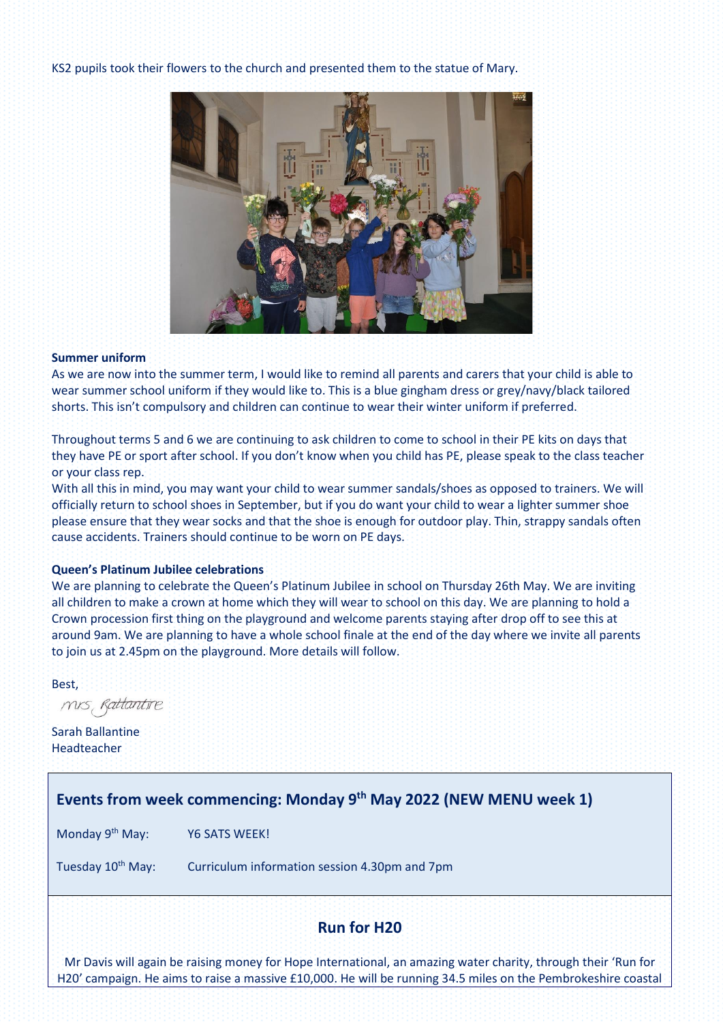KS2 pupils took their flowers to the church and presented them to the statue of Mary.



#### **Summer uniform**

As we are now into the summer term, I would like to remind all parents and carers that your child is able to wear summer school uniform if they would like to. This is a blue gingham dress or grey/navy/black tailored shorts. This isn't compulsory and children can continue to wear their winter uniform if preferred.

Throughout terms 5 and 6 we are continuing to ask children to come to school in their PE kits on days that they have PE or sport after school. If you don't know when you child has PE, please speak to the class teacher or your class rep.

With all this in mind, you may want your child to wear summer sandals/shoes as opposed to trainers. We will officially return to school shoes in September, but if you do want your child to wear a lighter summer shoe please ensure that they wear socks and that the shoe is enough for outdoor play. Thin, strappy sandals often cause accidents. Trainers should continue to be worn on PE days.

#### **Queen's Platinum Jubilee celebrations**

We are planning to celebrate the Queen's Platinum Jubilee in school on Thursday 26th May. We are inviting all children to make a crown at home which they will wear to school on this day. We are planning to hold a Crown procession first thing on the playground and welcome parents staying after drop off to see this at around 9am. We are planning to have a whole school finale at the end of the day where we invite all parents to join us at 2.45pm on the playground. More details will follow.

Best,

mis, Rattantire

Sarah Ballantine Headteacher

# **Events from week commencing: Monday 9 th May 2022 (NEW MENU week 1)**

Monday 9<sup>th</sup> May: Y6 SATS WEEK!

Tuesday 10<sup>th</sup> May: Curriculum information session 4.30pm and 7pm

# **Run for H20**

Mr Davis will again be raising money for Hope International, an amazing water charity, through their 'Run for H20' campaign. He aims to raise a massive £10,000. He will be running 34.5 miles on the Pembrokeshire coastal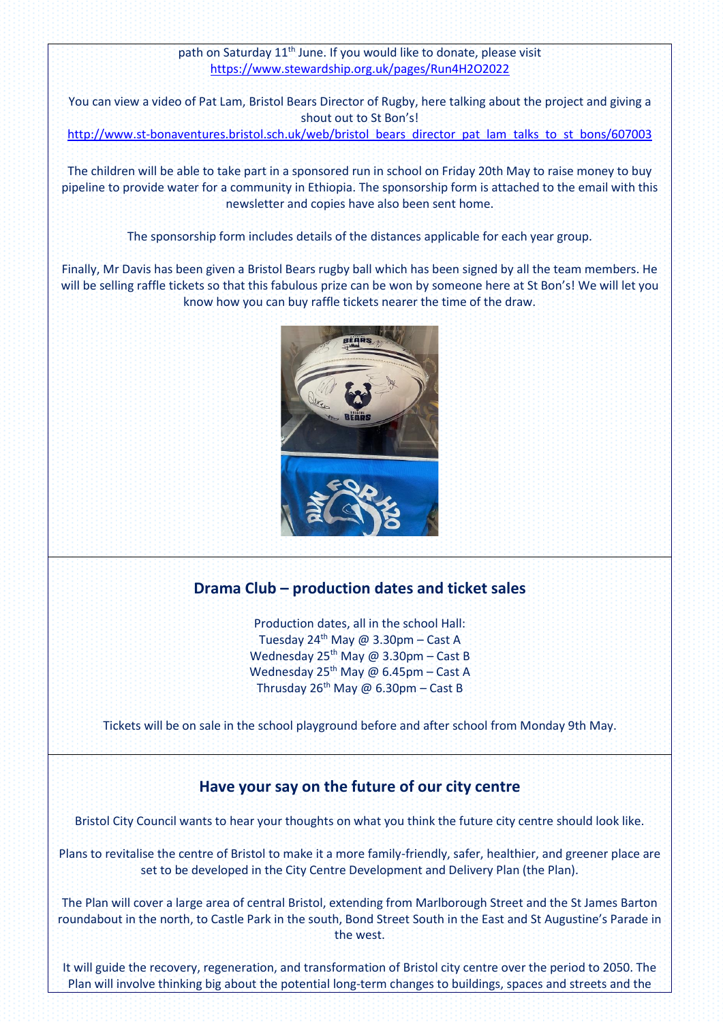### path on Saturday 11<sup>th</sup> June. If you would like to donate, please visit <https://www.stewardship.org.uk/pages/Run4H2O2022>

You can view a video of Pat Lam, Bristol Bears Director of Rugby, here talking about the project and giving a shout out to St Bon's!

[http://www.st-bonaventures.bristol.sch.uk/web/bristol\\_bears\\_director\\_pat\\_lam\\_talks\\_to\\_st\\_bons/607003](http://www.st-bonaventures.bristol.sch.uk/web/bristol_bears_director_pat_lam_talks_to_st_bons/607003)

The children will be able to take part in a sponsored run in school on Friday 20th May to raise money to buy pipeline to provide water for a community in Ethiopia. The sponsorship form is attached to the email with this newsletter and copies have also been sent home.

The sponsorship form includes details of the distances applicable for each year group.

Finally, Mr Davis has been given a Bristol Bears rugby ball which has been signed by all the team members. He will be selling raffle tickets so that this fabulous prize can be won by someone here at St Bon's! We will let you know how you can buy raffle tickets nearer the time of the draw.



# **Drama Club – production dates and ticket sales**

Production dates, all in the school Hall: Tuesday 24<sup>th</sup> May @ 3.30pm - Cast A Wednesday  $25^{th}$  May @ 3.30pm – Cast B Wednesday 25<sup>th</sup> May @ 6.45pm – Cast A Thrusday 26<sup>th</sup> May @ 6.30pm - Cast B

Tickets will be on sale in the school playground before and after school from Monday 9th May.

### **Have your say on the future of our city centre**

Bristol City Council wants to hear your thoughts on what you think the future city centre should look like.

Plans to revitalise the centre of Bristol to make it a more family-friendly, safer, healthier, and greener place are set to be developed in the City Centre Development and Delivery Plan (the Plan).

The Plan will cover a large area of central Bristol, extending from Marlborough Street and the St James Barton roundabout in the north, to Castle Park in the south, Bond Street South in the East and St Augustine's Parade in the west.

It will guide the recovery, regeneration, and transformation of Bristol city centre over the period to 2050. The Plan will involve thinking big about the potential long-term changes to buildings, spaces and streets and the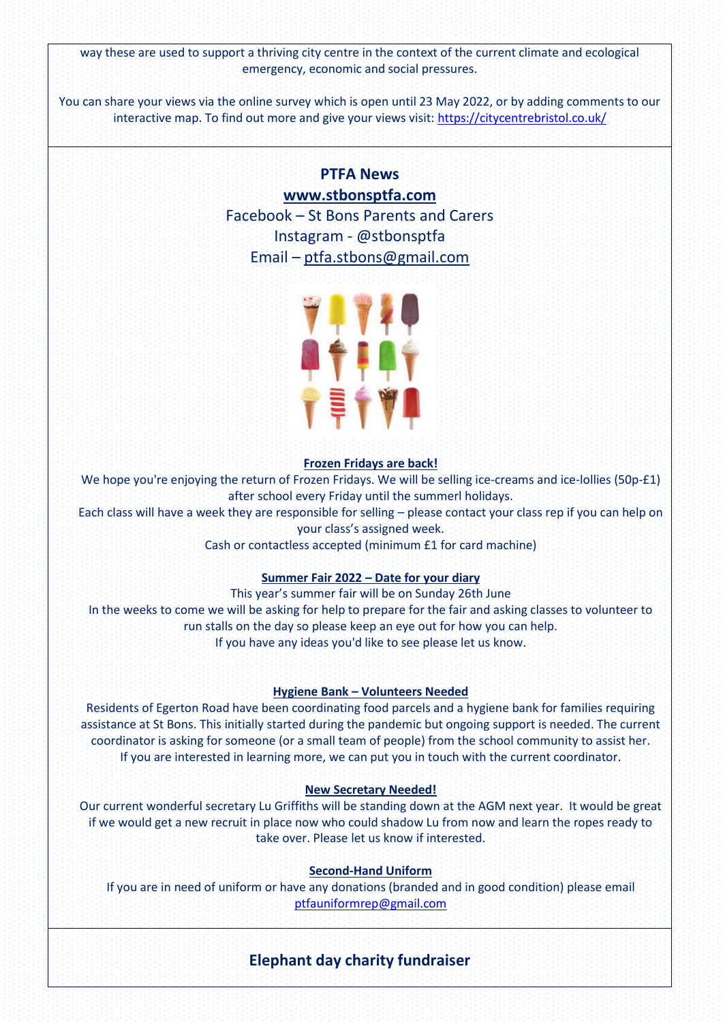way these are used to support a thriving city centre in the context of the current climate and ecological emergency, economic and social pressures.

You can share your views via the online survey which is open until 23 May 2022, or by adding comments to our interactive map. To find out more and give your views visit:<https://citycentrebristol.co.uk/>

# **PTFA News [www.stbonsptfa.com](file:///C:/Users/sophi/Documents/Personal/PTFA/www.stbonsptfa.com)** Facebook – St Bons Parents and Carers Instagram - @stbonsptfa Email – [ptfa.stbons@gmail.com](mailto:ptfa.stbons@gmail.com)



#### **Frozen Fridays are back!**

We hope you're enjoying the return of Frozen Fridays. We will be selling ice-creams and ice-lollies (50p-£1) after school every Friday until the summerl holidays.

Each class will have a week they are responsible for selling – please contact your class rep if you can help on your class's assigned week.

Cash or contactless accepted (minimum £1 for card machine)

#### **Summer Fair 2022 – Date for your diary**

This year's summer fair will be on Sunday 26th June In the weeks to come we will be asking for help to prepare for the fair and asking classes to volunteer to run stalls on the day so please keep an eye out for how you can help. If you have any ideas you'd like to see please let us know.

#### **Hygiene Bank – Volunteers Needed**

Residents of Egerton Road have been coordinating food parcels and a hygiene bank for families requiring assistance at St Bons. This initially started during the pandemic but ongoing support is needed. The current coordinator is asking for someone (or a small team of people) from the school community to assist her. If you are interested in learning more, we can put you in touch with the current coordinator.

#### **New Secretary Needed!**

Our current wonderful secretary Lu Griffiths will be standing down at the AGM next year. It would be great if we would get a new recruit in place now who could shadow Lu from now and learn the ropes ready to take over. Please let us know if interested.

#### **Second-Hand Uniform**

If you are in need of uniform or have any donations (branded and in good condition) please email [ptfauniformrep@gmail.com](mailto:ptfauniformrep@gmail.com)

### **Elephant day charity fundraiser**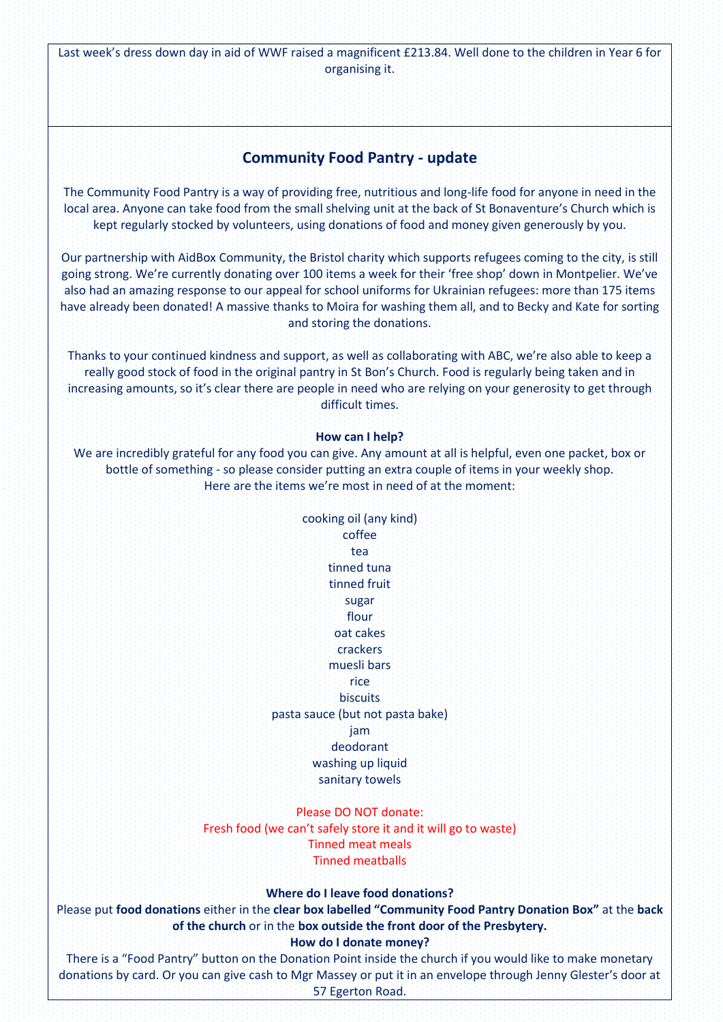Last week's dress down day in aid of WWF raised a magnificent £213.84. Well done to the children in Year 6 for organising it.

### **Community Food Pantry - update**

The Community Food Pantry is a way of providing free, nutritious and long-life food for anyone in need in the local area. Anyone can take food from the small shelving unit at the back of St Bonaventure's Church which is kept regularly stocked by volunteers, using donations of food and money given generously by you.

Our partnership with AidBox Community, the Bristol charity which supports refugees coming to the city, is still going strong. We're currently donating over 100 items a week for their 'free shop' down in Montpelier. We've also had an amazing response to our appeal for school uniforms for Ukrainian refugees: more than 175 items have already been donated! A massive thanks to Moira for washing them all, and to Becky and Kate for sorting and storing the donations.

Thanks to your continued kindness and support, as well as collaborating with ABC, we're also able to keep a really good stock of food in the original pantry in St Bon's Church. Food is regularly being taken and in increasing amounts, so it's clear there are people in need who are relying on your generosity to get through difficult times.

#### **How can I help?**

We are incredibly grateful for any food you can give. Any amount at all is helpful, even one packet, box or bottle of something - so please consider putting an extra couple of items in your weekly shop. Here are the items we're most in need of at the moment:

> cooking oil (any kind) coffee tea tinned tuna tinned fruit sugar flour oat cakes crackers muesli bars rice **biscuits** pasta sauce (but not pasta bake) jam deodorant washing up liquid sanitary towels

#### Please DO NOT donate:

Fresh food (we can't safely store it and it will go to waste) Tinned meat meals Tinned meatballs

#### **Where do I leave food donations?**

Please put **food donations** either in the **clear box labelled "Community Food Pantry Donation Box"** at the **back of the church** or in the **box outside the front door of the Presbytery.**

#### **How do I donate money?**

There is a "Food Pantry" button on the Donation Point inside the church if you would like to make monetary donations by card. Or you can give cash to Mgr Massey or put it in an envelope through Jenny Glester's door at 57 Egerton Road.